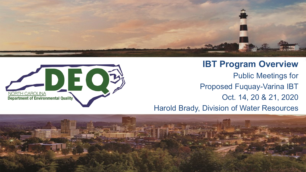

**IBT Program Overview** Public Meetings for

Proposed Fuquay-Varina IBT

Oct. 14, 20 & 21, 2020

Harold Brady, Division of Water Resources



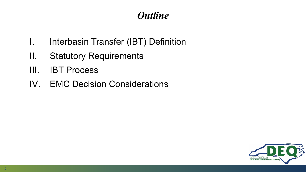## *Outline*

- I. Interbasin Transfer (IBT) Definition
- II. Statutory Requirements
- III. IBT Process
- IV. EMC Decision Considerations

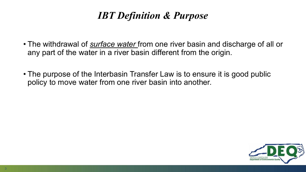## *IBT Definition & Purpose*

- The withdrawal of *surface water* from one river basin and discharge of all or any part of the water in a river basin different from the origin.
- The purpose of the Interbasin Transfer Law is to ensure it is good public policy to move water from one river basin into another.

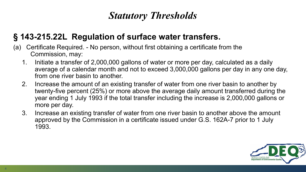## *Statutory Thresholds*

#### **§ 143-215.22L Regulation of surface water transfers.**

- (a) Certificate Required. No person, without first obtaining a certificate from the Commission, may:
	- 1. Initiate a transfer of 2,000,000 gallons of water or more per day, calculated as a daily average of a calendar month and not to exceed 3,000,000 gallons per day in any one day, from one river basin to another.
	- 2. Increase the amount of an existing transfer of water from one river basin to another by twenty-five percent (25%) or more above the average daily amount transferred during the year ending 1 July 1993 if the total transfer including the increase is 2,000,000 gallons or more per day.
	- 3. Increase an existing transfer of water from one river basin to another above the amount approved by the Commission in a certificate issued under G.S. 162A-7 prior to 1 July 1993.

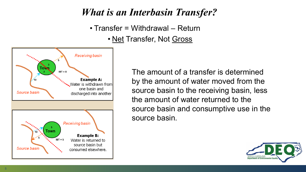## *What is an Interbasin Transfer?*

• Transfer = Withdrawal – Return • Net Transfer, Not Gross



The amount of a transfer is determined by the amount of water moved from the source basin to the receiving basin, less the amount of water returned to the source basin and consumptive use in the source basin.

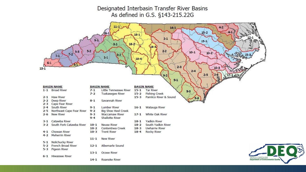Designated Interbasin Transfer River Basins As defined in G.S. §143-215.22G

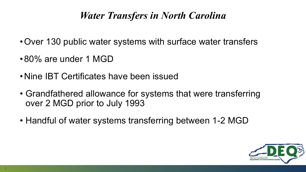## *Water Transfers in North Carolina*

- •Over 130 public water systems with surface water transfers
- •80% are under 1 MGD
- •Nine IBT Certificates have been issued
- Grandfathered allowance for systems that were transferring over 2 MGD prior to July 1993
- Handful of water systems transferring between 1-2 MGD

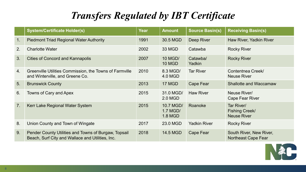## *Transfers Regulated by IBT Certificate*

|    | <b>System/Certificate Holder(s)</b>                                                                      | Year | <b>Amount</b>                    | <b>Source Basin(s)</b> | <b>Receiving Basin(s)</b>                             |
|----|----------------------------------------------------------------------------------------------------------|------|----------------------------------|------------------------|-------------------------------------------------------|
| 1. | <b>Piedmont Triad Regional Water Authority</b>                                                           | 1991 | 30.5 MGD                         | Deep River             | Haw River, Yadkin River                               |
| 2. | <b>Charlotte Water</b>                                                                                   | 2002 | <b>33 MGD</b>                    | Catawba                | <b>Rocky River</b>                                    |
| 3. | <b>Cities of Concord and Kannapolis</b>                                                                  | 2007 | 10 MGD/<br><b>10 MGD</b>         | Catawba/<br>Yadkin     | <b>Rocky River</b>                                    |
| 4. | Greenville Utilities Commission, the Towns of Farmville<br>and Winterville, and Greene Co.               | 2010 | 8.3 MGD/<br>4.0 MGD              | <b>Tar River</b>       | Contentnea Creek/<br><b>Neuse River</b>               |
| 5. | <b>Brunswick County</b>                                                                                  | 2013 | 17 MGD                           | <b>Cape Fear</b>       | <b>Shallotte and Waccamaw</b>                         |
| 6. | Towns of Cary and Apex                                                                                   | 2015 | 31.0 MGD/<br>2.0 MGD             | <b>Haw River</b>       | Neuse River/<br><b>Cape Fear River</b>                |
| 7. | Kerr Lake Regional Water System                                                                          | 2015 | 10.7 MGD/<br>1.7 MGD/<br>1.8 MGD | Roanoke                | Tar River/<br>Fishing Creek/<br><b>Neuse River</b>    |
| 8. | Union County and Town of Wingate                                                                         | 2017 | 23.0 MGD                         | <b>Yadkin River</b>    | <b>Rocky River</b>                                    |
| 9. | Pender County Utilities and Towns of Burgaw, Topsail<br>Beach, Surf City and Wallace and Utilities, Inc. | 2018 | 14.5 MGD                         | Cape Fear              | South River, New River,<br><b>Northeast Cape Fear</b> |

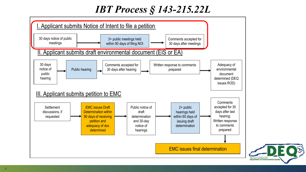# *IBT Process § 143-215.22L*



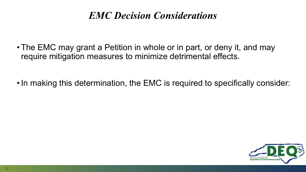### *EMC Decision Considerations*

• The EMC may grant a Petition in whole or in part, or deny it, and may require mitigation measures to minimize detrimental effects.

• In making this determination, the EMC is required to specifically consider:

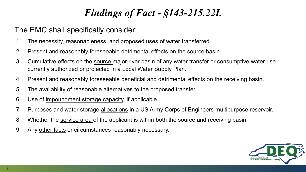## *Findings of Fact - §143-215.22L*

#### The EMC shall specifically consider:

- 1. The necessity, reasonableness, and proposed uses of water transferred.
- 2. Present and reasonably foreseeable detrimental effects on the source basin.
- 3. Cumulative effects on the source major river basin of any water transfer or consumptive water use currently authorized or projected in a Local Water Supply Plan.
- 4. Present and reasonably foreseeable beneficial and detrimental effects on the receiving basin.
- 5. The availability of reasonable alternatives to the proposed transfer.
- 6. Use of impoundment storage capacity, if applicable.
- 7. Purposes and water storage allocations in a US Army Corps of Engineers multipurpose reservoir.
- 8. Whether the service area of the applicant is within both the source and receiving basin.
- 9. Any other facts or circumstances reasonably necessary.

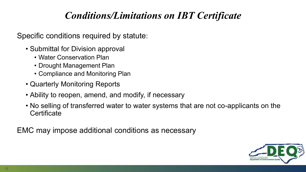## *Conditions/Limitations on IBT Certificate*

Specific conditions required by statute:

- Submittal for Division approval
	- Water Conservation Plan
	- Drought Management Plan
	- Compliance and Monitoring Plan
- Quarterly Monitoring Reports
- Ability to reopen, amend, and modify, if necessary
- No selling of transferred water to water systems that are not co-applicants on the **Certificate**

EMC may impose additional conditions as necessary